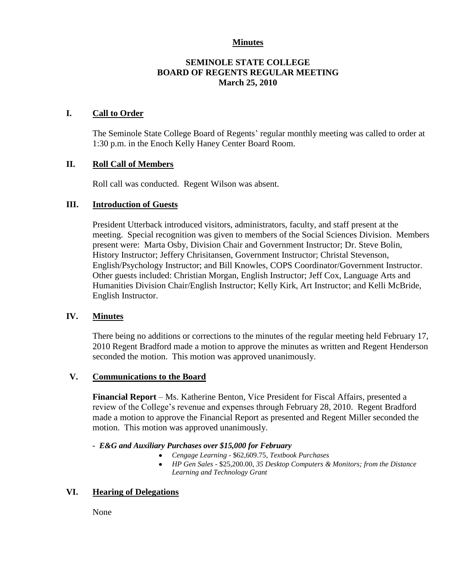#### **Minutes**

## **SEMINOLE STATE COLLEGE BOARD OF REGENTS REGULAR MEETING March 25, 2010**

### **I. Call to Order**

The Seminole State College Board of Regents' regular monthly meeting was called to order at 1:30 p.m. in the Enoch Kelly Haney Center Board Room.

## **II. Roll Call of Members**

Roll call was conducted. Regent Wilson was absent.

### **III. Introduction of Guests**

President Utterback introduced visitors, administrators, faculty, and staff present at the meeting. Special recognition was given to members of the Social Sciences Division. Members present were: Marta Osby, Division Chair and Government Instructor; Dr. Steve Bolin, History Instructor; Jeffery Chrisitansen, Government Instructor; Christal Stevenson, English/Psychology Instructor; and Bill Knowles, COPS Coordinator/Government Instructor. Other guests included: Christian Morgan, English Instructor; Jeff Cox, Language Arts and Humanities Division Chair/English Instructor; Kelly Kirk, Art Instructor; and Kelli McBride, English Instructor.

### **IV. Minutes**

There being no additions or corrections to the minutes of the regular meeting held February 17, 2010 Regent Bradford made a motion to approve the minutes as written and Regent Henderson seconded the motion. This motion was approved unanimously.

### **V. Communications to the Board**

**Financial Report** – Ms. Katherine Benton, Vice President for Fiscal Affairs, presented a review of the College's revenue and expenses through February 28, 2010. Regent Bradford made a motion to approve the Financial Report as presented and Regent Miller seconded the motion. This motion was approved unanimously.

### *- E&G and Auxiliary Purchases over \$15,000 for February*

- *Cengage Learning -* \$62,609.75*, Textbook Purchases*  $\bullet$
- *HP Gen Sales* \$25,200.00, *35 Desktop Computers & Monitors; from the Distance Learning and Technology Grant*

# **VI. Hearing of Delegations**

None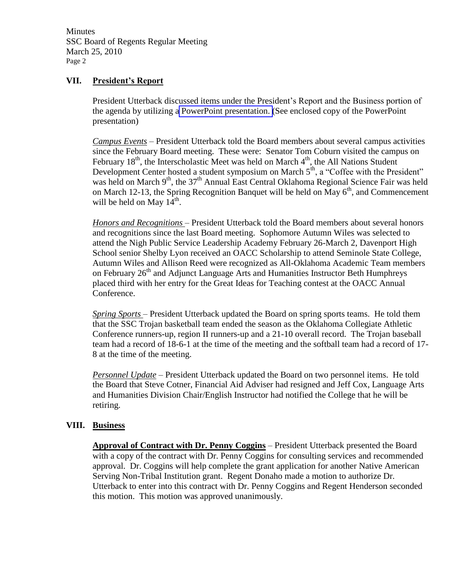**Minutes** SSC Board of Regents Regular Meeting March 25, 2010 Page 2

## **VII. President's Report**

President Utterback discussed items under the President's Report and the Business portion of the agenda by utilizing a PowerPoint presentation. (See enclosed copy of the PowerPoint presentation)

*Campus Events* – President Utterback told the Board members about several campus activities since the February Board meeting. These were: Senator Tom Coburn visited the campus on February  $18^{th}$ , the Interscholastic Meet was held on March  $4^{th}$ , the All Nations Student Development Center hosted a student symposium on March  $5<sup>th</sup>$ , a "Coffee with the President" was held on March  $9<sup>th</sup>$ , the 37<sup>th</sup> Annual East Central Oklahoma Regional Science Fair was held on March 12-13, the Spring Recognition Banquet will be held on May  $6<sup>th</sup>$ , and Commencement will be held on May  $14^{\text{th}}$ .

*Honors and Recognitions* – President Utterback told the Board members about several honors and recognitions since the last Board meeting. Sophomore Autumn Wiles was selected to attend the Nigh Public Service Leadership Academy February 26-March 2, Davenport High School senior Shelby Lyon received an OACC Scholarship to attend Seminole State College, Autumn Wiles and Allison Reed were recognized as All-Oklahoma Academic Team members on February  $26<sup>th</sup>$  and Adjunct Language Arts and Humanities Instructor Beth Humphreys placed third with her entry for the Great Ideas for Teaching contest at the OACC Annual Conference.

*Spring Sports* – President Utterback updated the Board on spring sports teams. He told them that the SSC Trojan basketball team ended the season as the Oklahoma Collegiate Athletic Conference runners-up, region II runners-up and a 21-10 overall record. The Trojan baseball team had a record of 18-6-1 at the time of the meeting and the softball team had a record of 17- 8 at the time of the meeting.

*Personnel Update* – President Utterback updated the Board on two personnel items. He told the Board that Steve Cotner, Financial Aid Adviser had resigned and Jeff Cox, Language Arts and Humanities Division Chair/English Instructor had notified the College that he will be retiring.

### **VIII. Business**

**Approval of Contract with Dr. Penny Coggins** – President Utterback presented the Board with a copy of the contract with Dr. Penny Coggins for consulting services and recommended approval. Dr. Coggins will help complete the grant application for another Native American Serving Non-Tribal Institution grant. Regent Donaho made a motion to authorize Dr. Utterback to enter into this contract with Dr. Penny Coggins and Regent Henderson seconded this motion. This motion was approved unanimously.